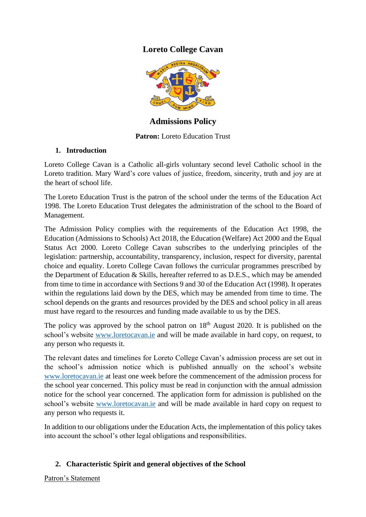# **Loreto College Cavan**



**Admissions Policy**

## **Patron:** Loreto Education Trust

## **1. Introduction**

Loreto College Cavan is a Catholic all-girls voluntary second level Catholic school in the Loreto tradition. Mary Ward's core values of justice, freedom, sincerity, truth and joy are at the heart of school life.

The Loreto Education Trust is the patron of the school under the terms of the Education Act 1998. The Loreto Education Trust delegates the administration of the school to the Board of Management.

The Admission Policy complies with the requirements of the Education Act 1998, the Education (Admissions to Schools) Act 2018, the Education (Welfare) Act 2000 and the Equal Status Act 2000. Loreto College Cavan subscribes to the underlying principles of the legislation: partnership, accountability, transparency, inclusion, respect for diversity, parental choice and equality. Loreto College Cavan follows the curricular programmes prescribed by the Department of Education & Skills, hereafter referred to as D.E.S., which may be amended from time to time in accordance with Sections 9 and 30 of the Education Act (1998). It operates within the regulations laid down by the DES, which may be amended from time to time. The school depends on the grants and resources provided by the DES and school policy in all areas must have regard to the resources and funding made available to us by the DES.

The policy was approved by the school patron on  $18<sup>th</sup>$  August 2020. It is published on the school's website [www.loretocavan.ie](http://www.loretocavan.ie/) and will be made available in hard copy, on request, to any person who requests it.

The relevant dates and timelines for Loreto College Cavan's admission process are set out in the school's admission notice which is published annually on the school's website [www.loretocavan.ie](http://www.loretocavan.ie/) at least one week before the commencement of the admission process for the school year concerned. This policy must be read in conjunction with the annual admission notice for the school year concerned. The application form for admission is published on the school's website [www.loretocavan.ie](http://www.loretocavan.ie/) and will be made available in hard copy on request to any person who requests it.

In addition to our obligations under the Education Acts, the implementation of this policy takes into account the school's other legal obligations and responsibilities.

## **2. Characteristic Spirit and general objectives of the School**

Patron's Statement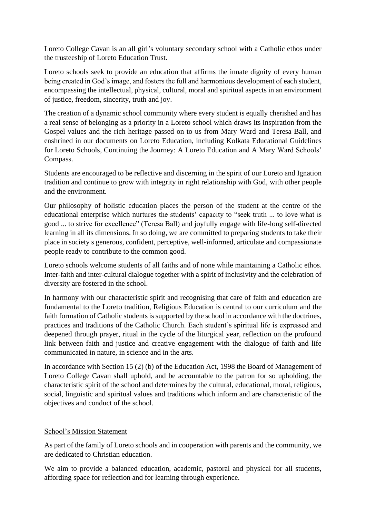Loreto College Cavan is an all girl's voluntary secondary school with a Catholic ethos under the trusteeship of Loreto Education Trust.

Loreto schools seek to provide an education that affirms the innate dignity of every human being created in God's image, and fosters the full and harmonious development of each student, encompassing the intellectual, physical, cultural, moral and spiritual aspects in an environment of justice, freedom, sincerity, truth and joy.

The creation of a dynamic school community where every student is equally cherished and has a real sense of belonging as a priority in a Loreto school which draws its inspiration from the Gospel values and the rich heritage passed on to us from Mary Ward and Teresa Ball, and enshrined in our documents on Loreto Education, including Kolkata Educational Guidelines for Loreto Schools, Continuing the Journey: A Loreto Education and A Mary Ward Schools' Compass.

Students are encouraged to be reflective and discerning in the spirit of our Loreto and Ignation tradition and continue to grow with integrity in right relationship with God, with other people and the environment.

Our philosophy of holistic education places the person of the student at the centre of the educational enterprise which nurtures the students' capacity to "seek truth ... to love what is good ... to strive for excellence" (Teresa Ball) and joyfully engage with life-long self-directed learning in all its dimensions. In so doing, we are committed to preparing students to take their place in society s generous, confident, perceptive, well-informed, articulate and compassionate people ready to contribute to the common good.

Loreto schools welcome students of all faiths and of none while maintaining a Catholic ethos. Inter-faith and inter-cultural dialogue together with a spirit of inclusivity and the celebration of diversity are fostered in the school.

In harmony with our characteristic spirit and recognising that care of faith and education are fundamental to the Loreto tradition, Religious Education is central to our curriculum and the faith formation of Catholic students is supported by the school in accordance with the doctrines, practices and traditions of the Catholic Church. Each student's spiritual life is expressed and deepened through prayer, ritual in the cycle of the liturgical year, reflection on the profound link between faith and justice and creative engagement with the dialogue of faith and life communicated in nature, in science and in the arts.

In accordance with Section 15 (2) (b) of the Education Act, 1998 the Board of Management of Loreto College Cavan shall uphold, and be accountable to the patron for so upholding, the characteristic spirit of the school and determines by the cultural, educational, moral, religious, social, linguistic and spiritual values and traditions which inform and are characteristic of the objectives and conduct of the school.

### School's Mission Statement

As part of the family of Loreto schools and in cooperation with parents and the community, we are dedicated to Christian education.

We aim to provide a balanced education, academic, pastoral and physical for all students, affording space for reflection and for learning through experience.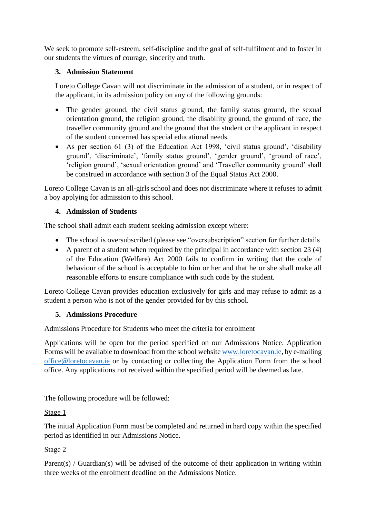We seek to promote self-esteem, self-discipline and the goal of self-fulfilment and to foster in our students the virtues of courage, sincerity and truth.

## **3. Admission Statement**

Loreto College Cavan will not discriminate in the admission of a student, or in respect of the applicant, in its admission policy on any of the following grounds:

- The gender ground, the civil status ground, the family status ground, the sexual orientation ground, the religion ground, the disability ground, the ground of race, the traveller community ground and the ground that the student or the applicant in respect of the student concerned has special educational needs.
- As per section 61 (3) of the Education Act 1998, 'civil status ground', 'disability ground', 'discriminate', 'family status ground', 'gender ground', 'ground of race', 'religion ground', 'sexual orientation ground' and 'Traveller community ground' shall be construed in accordance with section 3 of the Equal Status Act 2000.

Loreto College Cavan is an all-girls school and does not discriminate where it refuses to admit a boy applying for admission to this school.

## **4. Admission of Students**

The school shall admit each student seeking admission except where:

- The school is oversubscribed (please see "oversubscription" section for further details
- A parent of a student when required by the principal in accordance with section 23 (4) of the Education (Welfare) Act 2000 fails to confirm in writing that the code of behaviour of the school is acceptable to him or her and that he or she shall make all reasonable efforts to ensure compliance with such code by the student.

Loreto College Cavan provides education exclusively for girls and may refuse to admit as a student a person who is not of the gender provided for by this school.

### **5. Admissions Procedure**

Admissions Procedure for Students who meet the criteria for enrolment

Applications will be open for the period specified on our Admissions Notice. Application Forms will be available to download from the school websit[e www.loretocavan.ie,](http://www.loretocavan.ie/) by e-mailing [office@loretocavan.ie](mailto:office@loretocavan.ie) or by contacting or collecting the Application Form from the school office. Any applications not received within the specified period will be deemed as late.

The following procedure will be followed:

### Stage 1

The initial Application Form must be completed and returned in hard copy within the specified period as identified in our Admissions Notice.

### Stage 2

Parent(s) / Guardian(s) will be advised of the outcome of their application in writing within three weeks of the enrolment deadline on the Admissions Notice.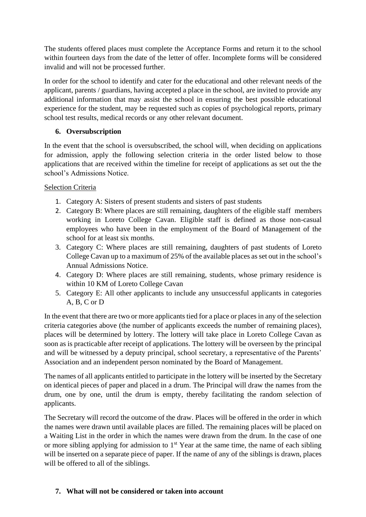The students offered places must complete the Acceptance Forms and return it to the school within fourteen days from the date of the letter of offer. Incomplete forms will be considered invalid and will not be processed further.

In order for the school to identify and cater for the educational and other relevant needs of the applicant, parents / guardians, having accepted a place in the school, are invited to provide any additional information that may assist the school in ensuring the best possible educational experience for the student, may be requested such as copies of psychological reports, primary school test results, medical records or any other relevant document.

## **6. Oversubscription**

In the event that the school is oversubscribed, the school will, when deciding on applications for admission, apply the following selection criteria in the order listed below to those applications that are received within the timeline for receipt of applications as set out the the school's Admissions Notice.

## Selection Criteria

- 1. Category A: Sisters of present students and sisters of past students
- 2. Category B: Where places are still remaining, daughters of the eligible staff members working in Loreto College Cavan. Eligible staff is defined as those non-casual employees who have been in the employment of the Board of Management of the school for at least six months.
- 3. Category C: Where places are still remaining, daughters of past students of Loreto College Cavan up to a maximum of 25% of the available places as set out in the school's Annual Admissions Notice.
- 4. Category D: Where places are still remaining, students, whose primary residence is within 10 KM of Loreto College Cavan
- 5. Category E: All other applicants to include any unsuccessful applicants in categories A, B, C or D

In the event that there are two or more applicants tied for a place or places in any of the selection criteria categories above (the number of applicants exceeds the number of remaining places), places will be determined by lottery. The lottery will take place in Loreto College Cavan as soon as is practicable after receipt of applications. The lottery will be overseen by the principal and will be witnessed by a deputy principal, school secretary, a representative of the Parents' Association and an independent person nominated by the Board of Management.

The names of all applicants entitled to participate in the lottery will be inserted by the Secretary on identical pieces of paper and placed in a drum. The Principal will draw the names from the drum, one by one, until the drum is empty, thereby facilitating the random selection of applicants.

The Secretary will record the outcome of the draw. Places will be offered in the order in which the names were drawn until available places are filled. The remaining places will be placed on a Waiting List in the order in which the names were drawn from the drum. In the case of one or more sibling applying for admission to  $1<sup>st</sup>$  Year at the same time, the name of each sibling will be inserted on a separate piece of paper. If the name of any of the siblings is drawn, places will be offered to all of the siblings.

## **7. What will not be considered or taken into account**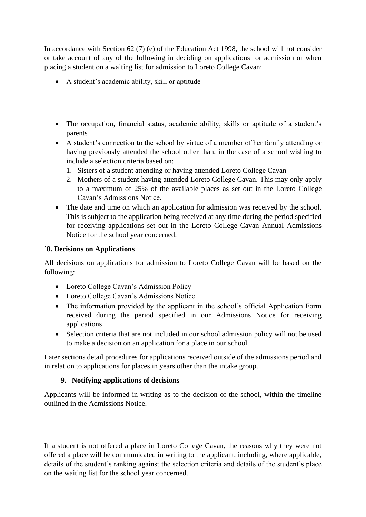In accordance with Section 62 (7) (e) of the Education Act 1998, the school will not consider or take account of any of the following in deciding on applications for admission or when placing a student on a waiting list for admission to Loreto College Cavan:

- A student's academic ability, skill or aptitude
- The occupation, financial status, academic ability, skills or aptitude of a student's parents
- A student's connection to the school by virtue of a member of her family attending or having previously attended the school other than, in the case of a school wishing to include a selection criteria based on:
	- 1. Sisters of a student attending or having attended Loreto College Cavan
	- 2. Mothers of a student having attended Loreto College Cavan. This may only apply to a maximum of 25% of the available places as set out in the Loreto College Cavan's Admissions Notice.
- The date and time on which an application for admission was received by the school. This is subject to the application being received at any time during the period specified for receiving applications set out in the Loreto College Cavan Annual Admissions Notice for the school year concerned.

## **`8. Decisions on Applications**

All decisions on applications for admission to Loreto College Cavan will be based on the following:

- Loreto College Cavan's Admission Policy
- Loreto College Cavan's Admissions Notice
- The information provided by the applicant in the school's official Application Form received during the period specified in our Admissions Notice for receiving applications
- Selection criteria that are not included in our school admission policy will not be used to make a decision on an application for a place in our school.

Later sections detail procedures for applications received outside of the admissions period and in relation to applications for places in years other than the intake group.

# **9. Notifying applications of decisions**

Applicants will be informed in writing as to the decision of the school, within the timeline outlined in the Admissions Notice.

If a student is not offered a place in Loreto College Cavan, the reasons why they were not offered a place will be communicated in writing to the applicant, including, where applicable, details of the student's ranking against the selection criteria and details of the student's place on the waiting list for the school year concerned.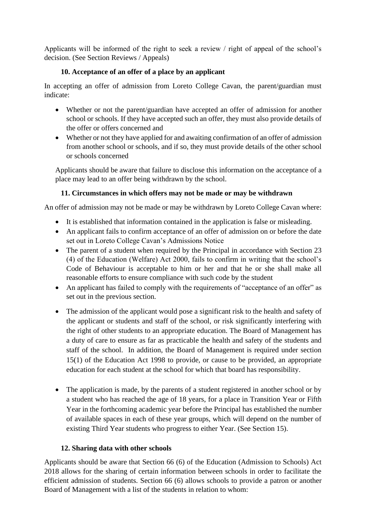Applicants will be informed of the right to seek a review / right of appeal of the school's decision. (See Section Reviews / Appeals)

## **10. Acceptance of an offer of a place by an applicant**

In accepting an offer of admission from Loreto College Cavan, the parent/guardian must indicate:

- Whether or not the parent/guardian have accepted an offer of admission for another school or schools. If they have accepted such an offer, they must also provide details of the offer or offers concerned and
- Whether or not they have applied for and awaiting confirmation of an offer of admission from another school or schools, and if so, they must provide details of the other school or schools concerned

Applicants should be aware that failure to disclose this information on the acceptance of a place may lead to an offer being withdrawn by the school.

## **11. Circumstances in which offers may not be made or may be withdrawn**

An offer of admission may not be made or may be withdrawn by Loreto College Cavan where:

- It is established that information contained in the application is false or misleading.
- An applicant fails to confirm acceptance of an offer of admission on or before the date set out in Loreto College Cavan's Admissions Notice
- The parent of a student when required by the Principal in accordance with Section 23 (4) of the Education (Welfare) Act 2000, fails to confirm in writing that the school's Code of Behaviour is acceptable to him or her and that he or she shall make all reasonable efforts to ensure compliance with such code by the student
- An applicant has failed to comply with the requirements of "acceptance of an offer" as set out in the previous section.
- The admission of the applicant would pose a significant risk to the health and safety of the applicant or students and staff of the school, or risk significantly interfering with the right of other students to an appropriate education. The Board of Management has a duty of care to ensure as far as practicable the health and safety of the students and staff of the school. In addition, the Board of Management is required under section 15(1) of the Education Act 1998 to provide, or cause to be provided, an appropriate education for each student at the school for which that board has responsibility.
- The application is made, by the parents of a student registered in another school or by a student who has reached the age of 18 years, for a place in Transition Year or Fifth Year in the forthcoming academic year before the Principal has established the number of available spaces in each of these year groups, which will depend on the number of existing Third Year students who progress to either Year. (See Section 15).

## **12. Sharing data with other schools**

Applicants should be aware that Section 66 (6) of the Education (Admission to Schools) Act 2018 allows for the sharing of certain information between schools in order to facilitate the efficient admission of students. Section 66 (6) allows schools to provide a patron or another Board of Management with a list of the students in relation to whom: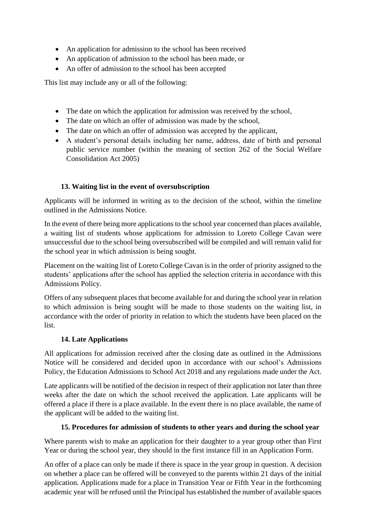- An application for admission to the school has been received
- An application of admission to the school has been made, or
- An offer of admission to the school has been accepted

This list may include any or all of the following:

- The date on which the application for admission was received by the school,
- The date on which an offer of admission was made by the school,
- The date on which an offer of admission was accepted by the applicant,
- A student's personal details including her name, address, date of birth and personal public service number (within the meaning of section 262 of the Social Welfare Consolidation Act 2005)

## **13. Waiting list in the event of oversubscription**

Applicants will be informed in writing as to the decision of the school, within the timeline outlined in the Admissions Notice.

In the event of there being more applications to the school year concerned than places available, a waiting list of students whose applications for admission to Loreto College Cavan were unsuccessful due to the school being oversubscribed will be compiled and will remain valid for the school year in which admission is being sought.

Placement on the waiting list of Loreto College Cavan is in the order of priority assigned to the students' applications after the school has applied the selection criteria in accordance with this Admissions Policy.

Offers of any subsequent places that become available for and during the school year in relation to which admission is being sought will be made to those students on the waiting list, in accordance with the order of priority in relation to which the students have been placed on the list.

## **14. Late Applications**

All applications for admission received after the closing date as outlined in the Admissions Notice will be considered and decided upon in accordance with our school's Admissions Policy, the Education Admissions to School Act 2018 and any regulations made under the Act.

Late applicants will be notified of the decision in respect of their application not later than three weeks after the date on which the school received the application. Late applicants will be offered a place if there is a place available. In the event there is no place available, the name of the applicant will be added to the waiting list.

## **15. Procedures for admission of students to other years and during the school year**

Where parents wish to make an application for their daughter to a year group other than First Year or during the school year, they should in the first instance fill in an Application Form.

An offer of a place can only be made if there is space in the year group in question. A decision on whether a place can be offered will be conveyed to the parents within 21 days of the initial application. Applications made for a place in Transition Year or Fifth Year in the forthcoming academic year will be refused until the Principal has established the number of available spaces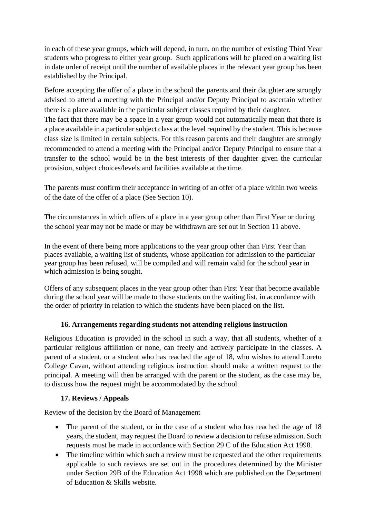in each of these year groups, which will depend, in turn, on the number of existing Third Year students who progress to either year group. Such applications will be placed on a waiting list in date order of receipt until the number of available places in the relevant year group has been established by the Principal.

Before accepting the offer of a place in the school the parents and their daughter are strongly advised to attend a meeting with the Principal and/or Deputy Principal to ascertain whether there is a place available in the particular subject classes required by their daughter.

The fact that there may be a space in a year group would not automatically mean that there is a place available in a particular subject class at the level required by the student. This is because class size is limited in certain subjects. For this reason parents and their daughter are strongly recommended to attend a meeting with the Principal and/or Deputy Principal to ensure that a transfer to the school would be in the best interests of ther daughter given the curricular provision, subject choices/levels and facilities available at the time.

The parents must confirm their acceptance in writing of an offer of a place within two weeks of the date of the offer of a place (See Section 10).

The circumstances in which offers of a place in a year group other than First Year or during the school year may not be made or may be withdrawn are set out in Section 11 above.

In the event of there being more applications to the year group other than First Year than places available, a waiting list of students, whose application for admission to the particular year group has been refused, will be compiled and will remain valid for the school year in which admission is being sought.

Offers of any subsequent places in the year group other than First Year that become available during the school year will be made to those students on the waiting list, in accordance with the order of priority in relation to which the students have been placed on the list.

## **16. Arrangements regarding students not attending religious instruction**

Religious Education is provided in the school in such a way, that all students, whether of a particular religious affiliation or none, can freely and actively participate in the classes. A parent of a student, or a student who has reached the age of 18, who wishes to attend Loreto College Cavan, without attending religious instruction should make a written request to the principal. A meeting will then be arranged with the parent or the student, as the case may be, to discuss how the request might be accommodated by the school.

## **17. Reviews / Appeals**

Review of the decision by the Board of Management

- The parent of the student, or in the case of a student who has reached the age of 18 years, the student, may request the Board to review a decision to refuse admission. Such requests must be made in accordance with Section 29 C of the Education Act 1998.
- The timeline within which such a review must be requested and the other requirements applicable to such reviews are set out in the procedures determined by the Minister under Section 29B of the Education Act 1998 which are published on the Department of Education & Skills website.